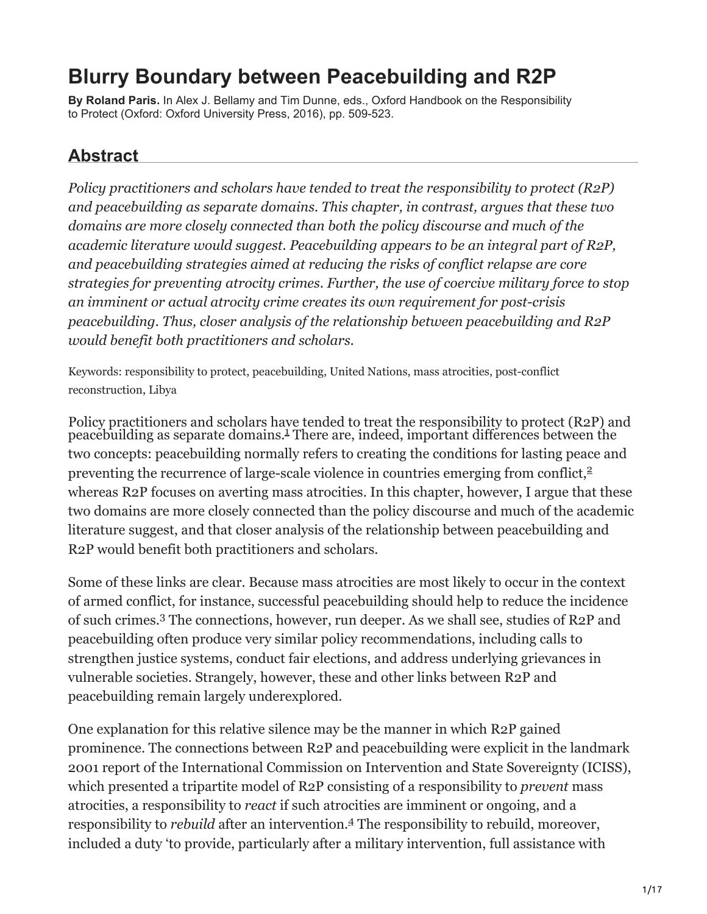# **Blurry Boundary between Peacebuilding and R2P**

**By Roland Paris.** I[n Alex J. Bellamy and Tim Dunne, eds., Oxford Handbook on the Responsibility](https://www.oxfordhandbooks.com/view/10.1093/oxfordhb/9780198753841.001.0001/oxfordhb-9780198753841-e-27)  to Protect (Oxford: Oxford University Press, 2016), pp. 509-523.

#### **Abstract**

*Policy practitioners and scholars have tended to treat the responsibility to protect (R2P) and peacebuilding as separate domains. This chapter, in contrast, argues that these two domains are more closely connected than both the policy discourse and much of the academic literature would suggest. Peacebuilding appears to be an integral part of R2P, and peacebuilding strategies aimed at reducing the risks of conflict relapse are core strategies for preventing atrocity crimes. Further, the use of coercive military force to stop an imminent or actual atrocity crime creates its own requirement for post-crisis peacebuilding. Thus, closer analysis of the relationship between peacebuilding and R2P would benefit both practitioners and scholars.*

[Keywords: responsibility to protect, peacebuilding, United Nations, mass atrocities, post-conflict](https://www.oxfordhandbooks.com/search?f_0=keyword&q_0=post-conflict%20reconstruction)  reconstruction, Libya

<span id="page-0-1"></span><span id="page-0-0"></span>Policy practitioners and scholars have tended to treat the responsibility to protect (R2P) and<br>peacebuilding as separate domains.<sup>1</sup> There are, indeed, important differences between the two concepts: peacebuilding normally refers to creating the conditions for lasting peace and preventing the recurrence of large-scale violence in countries emerging from conflict,<sup>[2](#page-13-1)</sup> whereas R<sub>2</sub>P focuses on averting mass atrocities. In this chapter, however, I argue that these two domains are more closely connected than the policy discourse and much of the academic literature suggest, and that closer analysis of the relationship between peacebuilding and R2P would benefit both practitioners and scholars.

<span id="page-0-2"></span>Some of these links are clear. Because mass atrocities are most likely to occur in the context of armed conflict, for instance, successful peacebuilding should help to reduce the incidence of such crimes[.](#page-13-2)<sup>3</sup> The connections, however, run deeper. As we shall see, studies of R2P and peacebuilding often produce very similar policy recommendations, including calls to strengthen justice systems, conduct fair elections, and address underlying grievances in vulnerable societies. Strangely, however, these and other links between R2P and peacebuilding remain largely underexplored.

<span id="page-0-3"></span>One explanation for this relative silence may be the manner in which R2P gained prominence. The connections between R2P and peacebuilding were explicit in the landmark 2001 report of the International Commission on Intervention and State Sovereignty (ICISS), which presented a tripartite model of R2P consisting of a responsibility to *prevent* mass atrocities, a responsibility to *react* if such atrocities are imminent or ongoing, and a responsibilityto *rebuild* after an intervention.<sup>4</sup> The responsibility to rebuild, moreover, included a duty 'to provide, particularly after a military intervention, full assistance with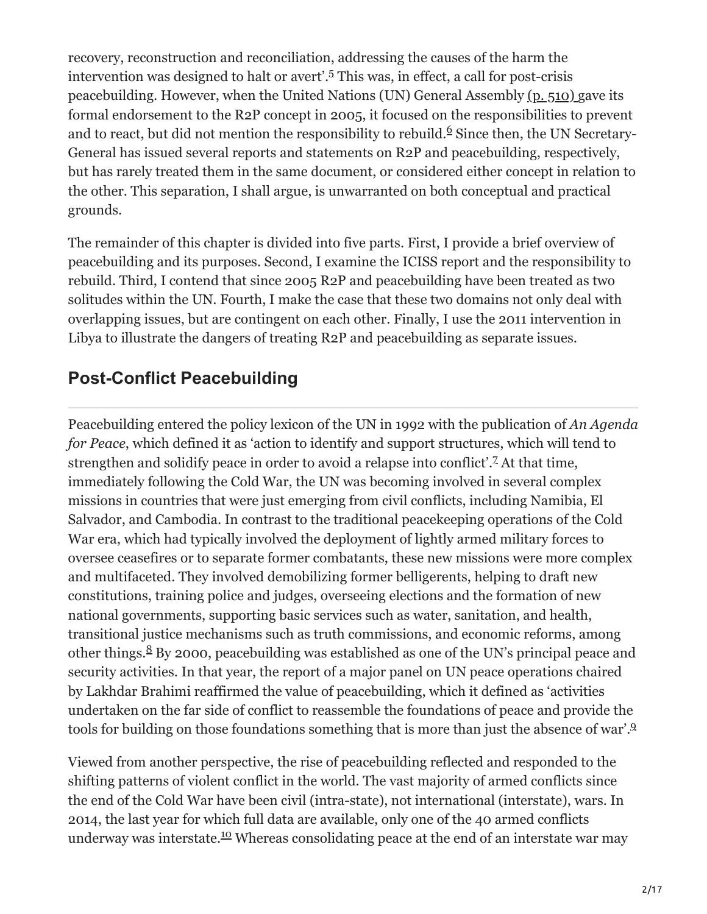<span id="page-1-1"></span><span id="page-1-0"></span>recovery, reconstruction and reconciliation, addressing the causes of the harm the interventionwas designed to halt or avert'.<sup>5</sup> This was, in effect, a call for post-crisis peacebuilding. However, when the United Nations (UN) General Assembly (p. 510) gave its formal endorsement to the R2P concept in 2005, it focused on the responsibilities to prevent andto react, but did not mention the responsibility to rebuild.  $6$  Since then, the UN Secretary-General has issued several reports and statements on R2P and peacebuilding, respectively, but has rarely treated them in the same document, or considered either concept in relation to the other. This separation, I shall argue, is unwarranted on both conceptual and practical grounds.

The remainder of this chapter is divided into five parts. First, I provide a brief overview of peacebuilding and its purposes. Second, I examine the ICISS report and the responsibility to rebuild. Third, I contend that since 2005 R2P and peacebuilding have been treated as two solitudes within the UN. Fourth, I make the case that these two domains not only deal with overlapping issues, but are contingent on each other. Finally, I use the 2011 intervention in Libya to illustrate the dangers of treating R2P and peacebuilding as separate issues.

## **Post-Conflict Peacebuilding**

<span id="page-1-2"></span>Peacebuilding entered the policy lexicon of the UN in 1992 with the publication of *An Agenda for Peace*, which defined it as 'action to identify and support structures, which will tend to strengthen and solidify peace in order to avoid a relapse into conflict'.<sup>7</sup> At that time, immediately following the Cold War, the UN was becoming involved in several complex missions in countries that were just emerging from civil conflicts, including Namibia, El Salvador, and Cambodia. In contrast to the traditional peacekeeping operations of the Cold War era, which had typically involved the deployment of lightly armed military forces to oversee ceasefires or to separate former combatants, these new missions were more complex and multifaceted. They involved demobilizing former belligerents, helping to draft new constitutions, training police and judges, overseeing elections and the formation of new national governments, supporting basic services such as water, sanitation, and health, transitional justice mechanisms such as truth commissions, and economic reforms, among otherthings.<sup>8</sup> By 2000, peacebuilding was established as one of the UN's principal peace and security activities. In that year, the report of a major panel on UN peace operations chaired by Lakhdar Brahimi reaffirmed the value of peacebuilding, which it defined as 'activities undertaken on the far side of conflict to reassemble the foundations of peace and provide the tools for building on those foundations something that is more than just the absence of war'. [9](#page-14-5)

<span id="page-1-5"></span><span id="page-1-4"></span><span id="page-1-3"></span>Viewed from another perspective, the rise of peacebuilding reflected and responded to the shifting patterns of violent conflict in the world. The vast majority of armed conflicts since the end of the Cold War have been civil (intra-state), not international (interstate), wars. In 2014, the last year for which full data are available, only one of the 40 armed conflicts underway was interstate.<sup>10</sup> Whereas consolidating peace at the end of an interstate war may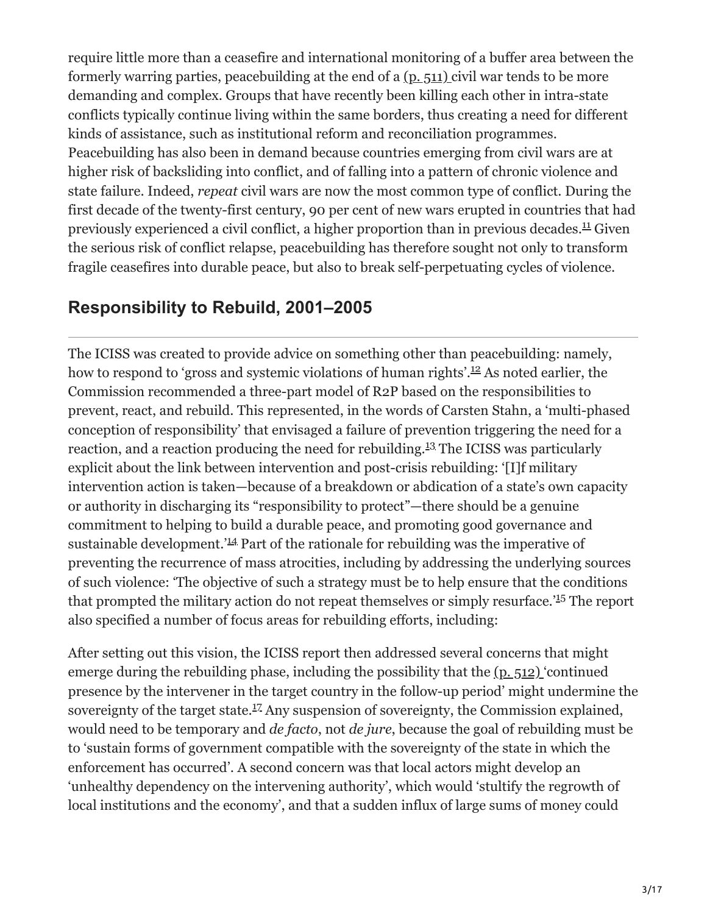require little more than a ceasefire and international monitoring of a buffer area between the formerly warring parties, peacebuilding at the end of a (p. 511) civil war tends to be more demanding and complex. Groups that have recently been killing each other in intra-state conflicts typically continue living within the same borders, thus creating a need for different kinds of assistance, such as institutional reform and reconciliation programmes. Peacebuilding has also been in demand because countries emerging from civil wars are at higher risk of backsliding into conflict, and of falling into a pattern of chronic violence and state failure. Indeed, *repeat* civil wars are now the most common type of conflict. During the first decade of the twenty-first century, 90 per cent of new wars erupted in countries that had previouslyexperienced a civil conflict, a higher proportion than in previous decades.<sup>11</sup> Given the serious risk of conflict relapse, peacebuilding has therefore sought not only to transform fragile ceasefires into durable peace, but also to break self-perpetuating cycles of violence.

#### <span id="page-2-0"></span>**Responsibility to Rebuild, 2001–2005**

<span id="page-2-2"></span><span id="page-2-1"></span>The ICISS was created to provide advice on something other than peacebuilding: namely, how to respond to 'gross and systemic violations of human rights'.<sup>12</sup> As noted earlier, the Commission recommended a three-part model of R2P based on the responsibilities to prevent, react, and rebuild. This represented, in the words of Carsten Stahn, a 'multi-phased conception of responsibility' that envisaged a failure of prevention triggering the need for a reaction, and a reaction producing the need for rebuilding[.](#page-14-9)<sup>13</sup> The ICISS was particularly explicit about the link between intervention and post-crisis rebuilding: '[I] f military intervention action is taken—because of a breakdown or abdication of a state's own capacity or authority in discharging its "responsibility to protect"—there should be a genuine commitment to helping to build a durable peace, and promoting good governance and sustainable development.' $\frac{14}{4}$  Part of the rationale for rebuilding was the imperative of preventing the recurrence of mass atrocities, including by addressing the underlying sources of such violence: 'The objective of such a strategy must be to help ensure that the conditions that prompted the military action do not repeat themselves or simply resurface.'<sup>15</sup> The report also specified a number of focus areas for rebuilding efforts, including:

<span id="page-2-5"></span><span id="page-2-4"></span><span id="page-2-3"></span>After setting out this vision, the ICISS report then addressed several concerns that might emerge during the rebuilding phase, including the possibility that the (p. 512) 'continued presence by the intervener in the target country in the follow-up period' might undermine the sovereignty of the target state[.](#page-14-12)<sup>17</sup> Any suspension of sovereignty, the Commission explained, would need to be temporary and *de facto*, not *de jure*, because the goal of rebuilding must be to 'sustain forms of government compatible with the sovereignty of the state in which the enforcement has occurred'. A second concern was that local actors might develop an 'unhealthy dependency on the intervening authority', which would 'stultify the regrowth of local institutions and the economy', and that a sudden influx of large sums of money could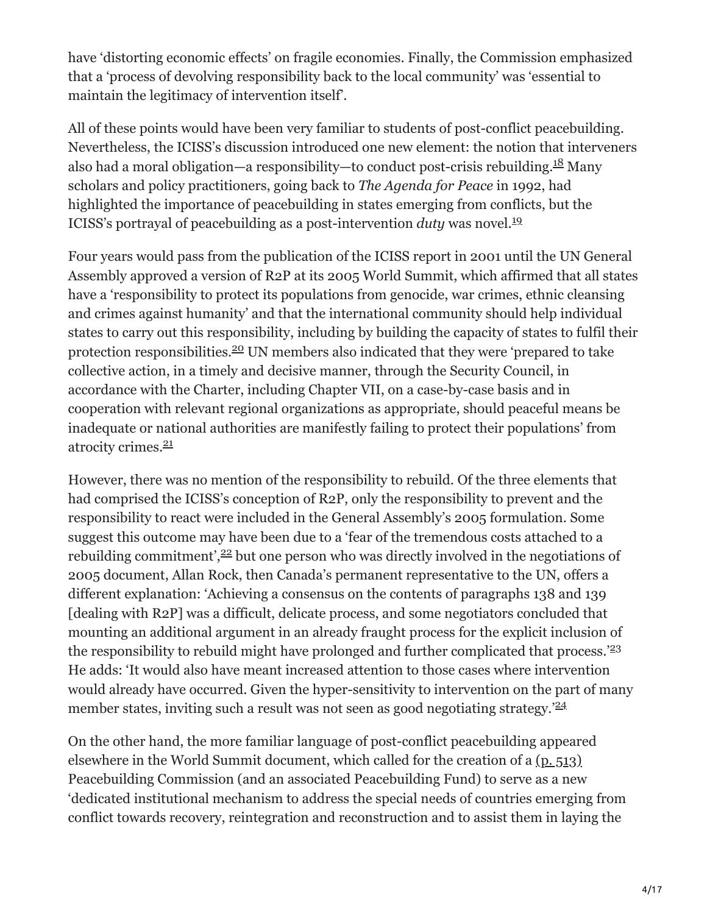have 'distorting economic effects' on fragile economies. Finally, the Commission emphasized that a 'process of devolving responsibility back to the local community' was 'essential to maintain the legitimacy of intervention itself'.

<span id="page-3-0"></span>All of these points would have been very familiar to students of post-conflict peacebuilding. Nevertheless, the ICISS's discussion introduced one new element: the notion that interveners also had a moral obligation—a responsibility—to conduct post-crisis rebuilding.<sup>18</sup> Many scholars and policy practitioners, going back to *The Agenda for Peace* in 1992, had highlighted the importance of peacebuilding in states emerging from conflicts, but the ICISS's portrayal of peacebuilding as a post-intervention *duty* was novel. [19](#page-14-14)

<span id="page-3-2"></span><span id="page-3-1"></span>Four years would pass from the publication of the ICISS report in 2001 until the UN General Assembly approved a version of R2P at its 2005 World Summit, which affirmed that all states have a 'responsibility to protect its populations from genocide, war crimes, ethnic cleansing and crimes against humanity' and that the international community should help individual states to carry out this responsibility, including by building the capacity of states to fulfil their protectionresponsibilities.<sup>20</sup> UN members also indicated that they were 'prepared to take collective action, in a timely and decisive manner, through the Security Council, in accordance with the Charter, including Chapter VII, on a case-by-case basis and in cooperation with relevant regional organizations as appropriate, should peaceful means be inadequate or national authorities are manifestly failing to protect their populations' from atrocity crimes.<sup>[21](#page-14-16)</sup>

<span id="page-3-4"></span><span id="page-3-3"></span>However, there was no mention of the responsibility to rebuild. Of the three elements that had comprised the ICISS's conception of R2P, only the responsibility to prevent and the responsibility to react were included in the General Assembly's 2005 formulation. Some suggest this outcome may have been due to a 'fear of the tremendous costs attached to a rebuilding commitment', $\frac{22}{2}$  but one person who was directly involved in the negotiations of 2005 document, Allan Rock, then Canada's permanent representative to the UN, offers a different explanation: 'Achieving a consensus on the contents of paragraphs 138 and 139 [dealing with R2P] was a difficult, delicate process, and some negotiators concluded that mounting an additional argument in an already fraught process for the explicit inclusion of the responsibility to rebuild might have prolonged and further complicated that process.'<sup>[23](#page-14-18)</sup> He adds: 'It would also have meant increased attention to those cases where intervention would already have occurred. Given the hyper-sensitivity to intervention on the part of many member states, inviting such a result was not seen as good negotiating strategy.'<sup>[24](#page-15-0)</sup>

<span id="page-3-6"></span><span id="page-3-5"></span>On the other hand, the more familiar language of post-conflict peacebuilding appeared elsewhere in the World Summit document, which called for the creation of a (p. 513) Peacebuilding Commission (and an associated Peacebuilding Fund) to serve as a new 'dedicated institutional mechanism to address the special needs of countries emerging from conflict towards recovery, reintegration and reconstruction and to assist them in laying the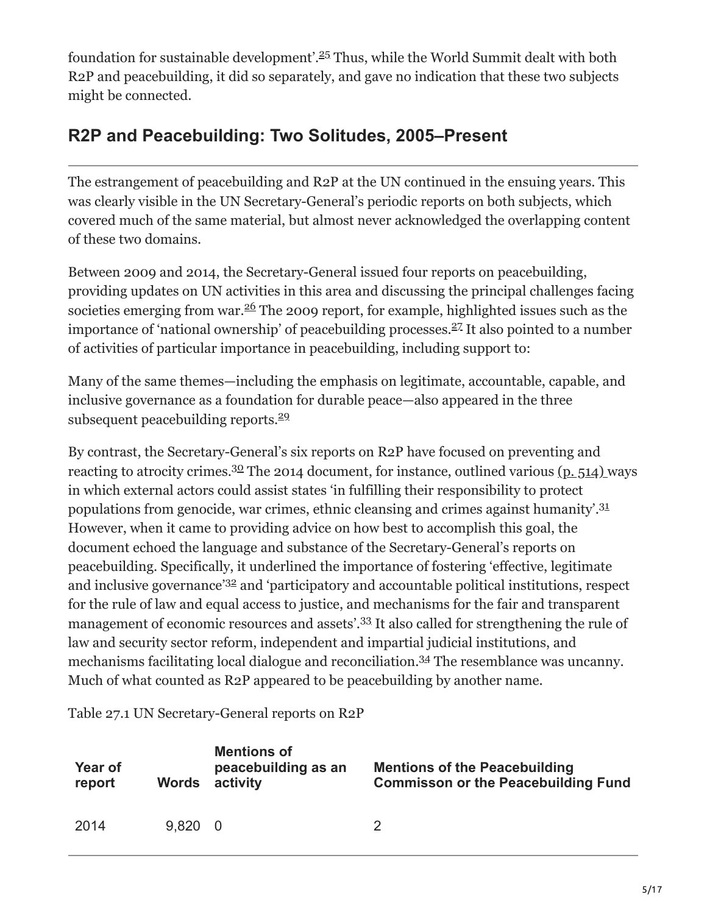<span id="page-4-1"></span>foundation for sustainable development'[.](#page-15-1)<sup>25</sup> Thus, while the World Summit dealt with both R2P and peacebuilding, it did so separately, and gave no indication that these two subjects might be connected.

## **R2P and Peacebuilding: Two Solitudes, 2005–Present**

The estrangement of peacebuilding and R2P at the UN continued in the ensuing years. This was clearly visible in the UN Secretary-General's periodic reports on both subjects, which covered much of the same material, but almost never acknowledged the overlapping content of these two domains.

<span id="page-4-2"></span>Between 2009 and 2014, the Secretary-General issued four reports on peacebuilding, providing updates on UN activities in this area and discussing the principal challenges facing societiesemerging from war. $\frac{26}{5}$  The 2009 report, for example, highlighted issues such as the importance of 'national ownership' of peacebuilding processes.<sup>27</sup> It also pointed to a number of activities of particular importance in peacebuilding, including support to:

<span id="page-4-4"></span><span id="page-4-3"></span>Many of the same themes—including the emphasis on legitimate, accountable, capable, and inclusive governance as a foundation for durable peace—also appeared in the three subsequent peacebuilding reports.<sup>[29](#page-15-4)</sup>

<span id="page-4-6"></span><span id="page-4-5"></span>By contrast, the Secretary-General's six reports on R2P have focused on preventing and reacting to atrocity crimes[.](#page-15-5)<sup>30</sup> The 2014 document, for instance, outlined various (p. 514) ways in which external actors could assist states 'in fulfilling their responsibility to protect populations from genocide, war crimes, ethnic cleansing and crimes against humanity'.<sup>[31](#page-15-6)</sup> However, when it came to providing advice on how best to accomplish this goal, the document echoed the language and substance of the Secretary-General's reports on peacebuilding. Specifically, it underlined the importance of fostering 'effective, legitimate and inclusive governance<sup>'32</sup> and 'participatory and accountable political institutions, respect for the rule of law and equal access to justice, and mechanisms for the fair and transparent managementof economic resources and assets'.<sup>33</sup> It also called for strengthening the rule of law and security sector reform, independent and impartial judicial institutions, and mechanismsfacilitating local dialogue and reconciliation.<sup>34</sup> The resemblance was uncanny. Much of what counted as R2P appeared to be peacebuilding by another name.

<span id="page-4-9"></span><span id="page-4-8"></span><span id="page-4-7"></span><span id="page-4-0"></span>Table 27.1 UN Secretary-General reports on R2P

| Year of<br>report | Words     | <b>Mentions of</b><br>peacebuilding as an<br>activity | <b>Mentions of the Peacebuilding</b><br><b>Commisson or the Peacebuilding Fund</b> |
|-------------------|-----------|-------------------------------------------------------|------------------------------------------------------------------------------------|
| 2014              | $9,820$ 0 |                                                       |                                                                                    |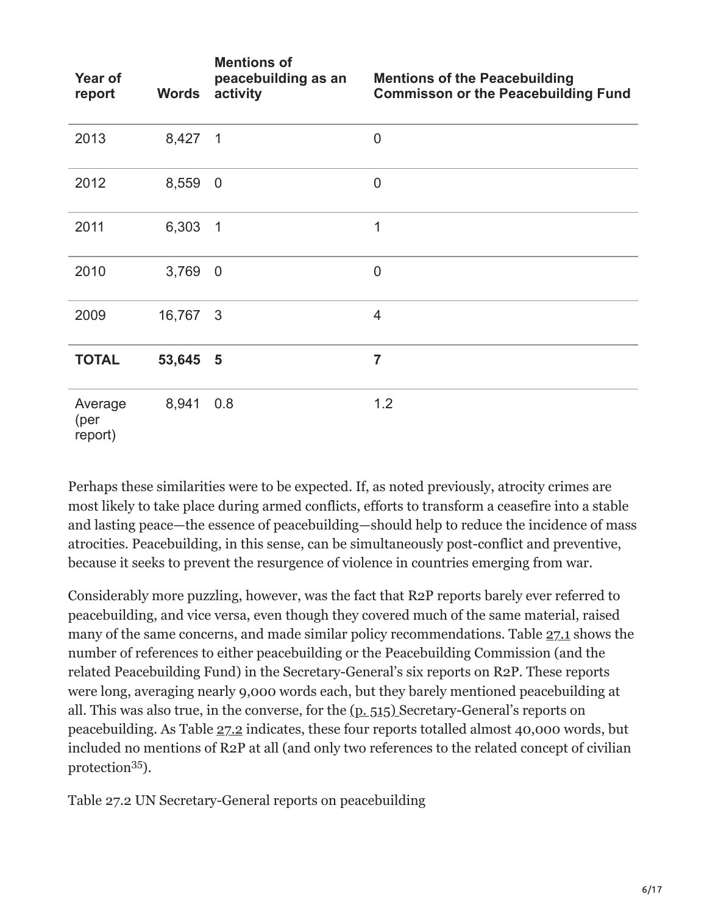| Year of<br>report          | Words    | <b>Mentions of</b><br>peacebuilding as an<br>activity | <b>Mentions of the Peacebuilding</b><br><b>Commisson or the Peacebuilding Fund</b> |
|----------------------------|----------|-------------------------------------------------------|------------------------------------------------------------------------------------|
| 2013                       | 8,427 1  |                                                       | $\mathbf 0$                                                                        |
| 2012                       | 8,559 0  |                                                       | $\overline{0}$                                                                     |
| 2011                       | 6,303 1  |                                                       | 1                                                                                  |
| 2010                       | 3,769 0  |                                                       | $\mathbf 0$                                                                        |
| 2009                       | 16,767 3 |                                                       | $\overline{4}$                                                                     |
| <b>TOTAL</b>               | 53,645 5 |                                                       | $\overline{7}$                                                                     |
| Average<br>(per<br>report) | 8,941    | 0.8                                                   | 1.2                                                                                |

Perhaps these similarities were to be expected. If, as noted previously, atrocity crimes are most likely to take place during armed conflicts, efforts to transform a ceasefire into a stable and lasting peace—the essence of peacebuilding—should help to reduce the incidence of mass atrocities. Peacebuilding, in this sense, can be simultaneously post-conflict and preventive, because it seeks to prevent the resurgence of violence in countries emerging from war.

Considerably more puzzling, however, was the fact that R2P reports barely ever referred to peacebuilding, and vice versa, even though they covered much of the same material, raised many of the same concerns, and made similar policy recommendations. Table [27.1](#page-4-0) shows the number of references to either peacebuilding or the Peacebuilding Commission (and the related Peacebuilding Fund) in the Secretary-General's six reports on R2P. These reports were long, averaging nearly 9,000 words each, but they barely mentioned peacebuilding at all. This was also true, in the converse, for the (p. 515) Secretary-General's reports on peacebuilding. As Table [27.2](#page-5-0) indicates, these four reports totalled almost 40,000 words, but included no mentions of R2P at all (and only two references to the related concept of civilian protection<sup>[35](#page-15-10)</sup>).

<span id="page-5-1"></span><span id="page-5-0"></span>Table 27.2 UN Secretary-General reports on peacebuilding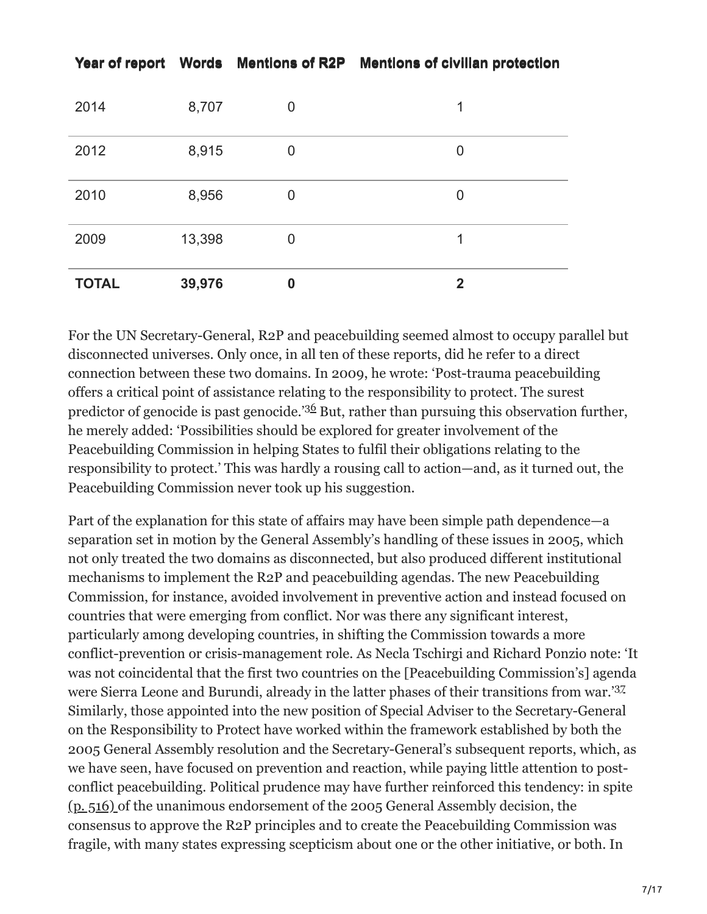| 2014         | 8,707  | $\overline{0}$   | 4              |
|--------------|--------|------------------|----------------|
| 2012         | 8,915  | $\overline{0}$   | 0              |
| 2010         | 8,956  | 0                | 0              |
| 2009         | 13,398 | $\overline{0}$   |                |
| <b>TOTAL</b> | 39,976 | $\boldsymbol{0}$ | $\overline{2}$ |

**Year of report ear of report Words Mentions of R2P Mentions of R2P Mentions of civilian protection Mentions of civilian protection**

<span id="page-6-0"></span>For the UN Secretary-General, R2P and peacebuilding seemed almost to occupy parallel but disconnected universes. Only once, in all ten of these reports, did he refer to a direct connection between these two domains. In 2009, he wrote: 'Post-trauma peacebuilding offers a critical point of assistance relating to the responsibility to protect. The surest predictorof genocide is past genocide.<sup>'36</sup> But, rather than pursuing this observation further, he merely added: 'Possibilities should be explored for greater involvement of the Peacebuilding Commission in helping States to fulfil their obligations relating to the responsibility to protect.' This was hardly a rousing call to action—and, as it turned out, the Peacebuilding Commission never took up his suggestion.

<span id="page-6-1"></span>Part of the explanation for this state of affairs may have been simple path dependence—a separation set in motion by the General Assembly's handling of these issues in 2005, which not only treated the two domains as disconnected, but also produced different institutional mechanisms to implement the R2P and peacebuilding agendas. The new Peacebuilding Commission, for instance, avoided involvement in preventive action and instead focused on countries that were emerging from conflict. Nor was there any significant interest, particularly among developing countries, in shifting the Commission towards a more conflict-prevention or crisis-management role. As Necla Tschirgi and Richard Ponzio note: 'It was not coincidental that the first two countries on the [Peacebuilding Commission's] agenda were Sierra Leone and Burundi, already in the latter phases of their transitions from war.'<sup>[37](#page-15-12)</sup> Similarly, those appointed into the new position of Special Adviser to the Secretary-General on the Responsibility to Protect have worked within the framework established by both the 2005 General Assembly resolution and the Secretary-General's subsequent reports, which, as we have seen, have focused on prevention and reaction, while paying little attention to postconflict peacebuilding. Political prudence may have further reinforced this tendency: in spite (p. 516) of the unanimous endorsement of the 2005 General Assembly decision, the consensus to approve the R2P principles and to create the Peacebuilding Commission was fragile, with many states expressing scepticism about one or the other initiative, or both. In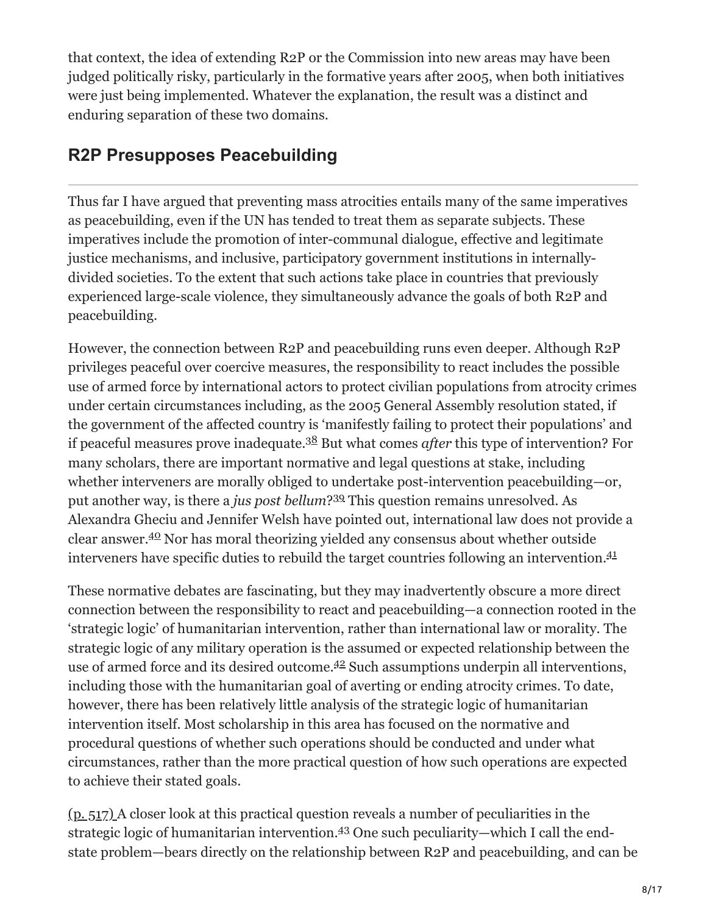that context, the idea of extending R2P or the Commission into new areas may have been judged politically risky, particularly in the formative years after 2005, when both initiatives were just being implemented. Whatever the explanation, the result was a distinct and enduring separation of these two domains.

### **R2P Presupposes Peacebuilding**

Thus far I have argued that preventing mass atrocities entails many of the same imperatives as peacebuilding, even if the UN has tended to treat them as separate subjects. These imperatives include the promotion of inter-communal dialogue, effective and legitimate justice mechanisms, and inclusive, participatory government institutions in internallydivided societies. To the extent that such actions take place in countries that previously experienced large-scale violence, they simultaneously advance the goals of both R2P and peacebuilding.

<span id="page-7-0"></span>However, the connection between R2P and peacebuilding runs even deeper. Although R2P privileges peaceful over coercive measures, the responsibility to react includes the possible use of armed force by international actors to protect civilian populations from atrocity crimes under certain circumstances including, as the 2005 General Assembly resolution stated, if the government of the affected country is 'manifestly failing to protect their populations' and if peaceful measures prove inadequate.<sup>38</sup> But what comes *after* this type of intervention? For many scholars, there are important normative and legal questions at stake, including whether interveners are morally obliged to undertake post-intervention peacebuilding—or, put another way, is there a *jus post bellum*?<sup>39</sup> This question remains unresolved. As Alexandra Gheciu and Jennifer Welsh have pointed out, international law does not provide a clearanswer.<sup>40</sup> Nor has moral theorizing yielded any consensus about whether outside interveners have specific duties to rebuild the target countries following an intervention.<sup>[41](#page-15-16)</sup>

<span id="page-7-4"></span><span id="page-7-3"></span><span id="page-7-2"></span><span id="page-7-1"></span>These normative debates are fascinating, but they may inadvertently obscure a more direct connection between the responsibility to react and peacebuilding—a connection rooted in the 'strategic logic' of humanitarian intervention, rather than international law or morality. The strategic logic of any military operation is the assumed or expected relationship between the use of armed force and its desired outcome.<sup>42</sup> Such assumptions underpin all interventions, including those with the humanitarian goal of averting or ending atrocity crimes. To date, however, there has been relatively little analysis of the strategic logic of humanitarian intervention itself. Most scholarship in this area has focused on the normative and procedural questions of whether such operations should be conducted and under what circumstances, rather than the more practical question of how such operations are expected to achieve their stated goals.

<span id="page-7-5"></span>(p. 517) A closer look at this practical question reveals a number of peculiarities in the strategic logic of humanitarian intervention.<sup>43</sup> One such peculiarity—which I call the endstate problem—bears directly on the relationship between R2P and peacebuilding, and can be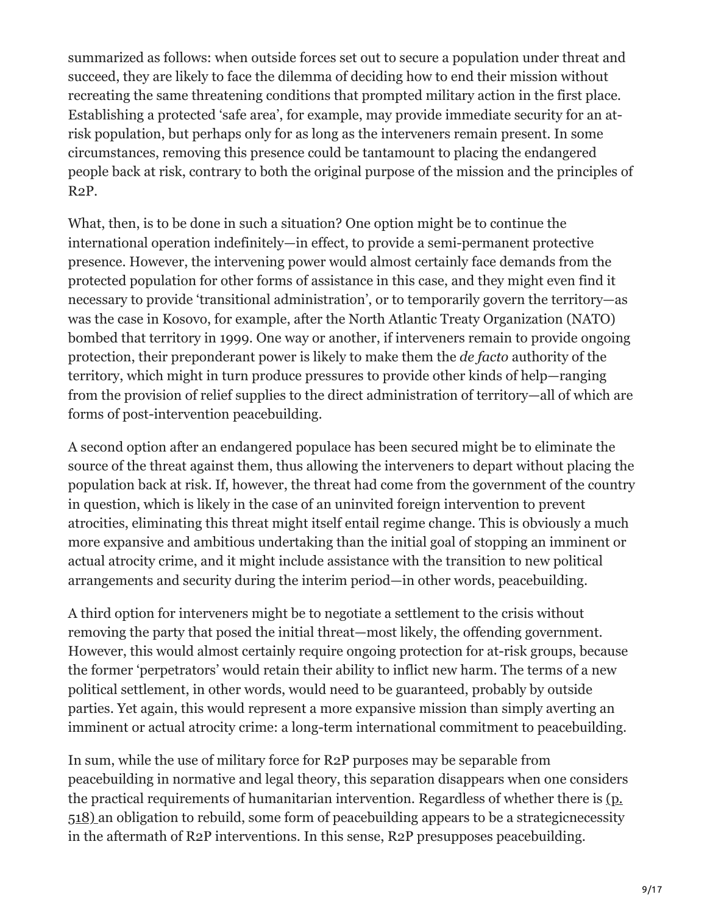summarized as follows: when outside forces set out to secure a population under threat and succeed, they are likely to face the dilemma of deciding how to end their mission without recreating the same threatening conditions that prompted military action in the first place. Establishing a protected 'safe area', for example, may provide immediate security for an atrisk population, but perhaps only for as long as the interveners remain present. In some circumstances, removing this presence could be tantamount to placing the endangered people back at risk, contrary to both the original purpose of the mission and the principles of R2P.

What, then, is to be done in such a situation? One option might be to continue the international operation indefinitely—in effect, to provide a semi-permanent protective presence. However, the intervening power would almost certainly face demands from the protected population for other forms of assistance in this case, and they might even find it necessary to provide 'transitional administration', or to temporarily govern the territory—as was the case in Kosovo, for example, after the North Atlantic Treaty Organization (NATO) bombed that territory in 1999. One way or another, if interveners remain to provide ongoing protection, their preponderant power is likely to make them the *de facto* authority of the territory, which might in turn produce pressures to provide other kinds of help—ranging from the provision of relief supplies to the direct administration of territory—all of which are forms of post-intervention peacebuilding.

A second option after an endangered populace has been secured might be to eliminate the source of the threat against them, thus allowing the interveners to depart without placing the population back at risk. If, however, the threat had come from the government of the country in question, which is likely in the case of an uninvited foreign intervention to prevent atrocities, eliminating this threat might itself entail regime change. This is obviously a much more expansive and ambitious undertaking than the initial goal of stopping an imminent or actual atrocity crime, and it might include assistance with the transition to new political arrangements and security during the interim period—in other words, peacebuilding.

A third option for interveners might be to negotiate a settlement to the crisis without removing the party that posed the initial threat—most likely, the offending government. However, this would almost certainly require ongoing protection for at-risk groups, because the former 'perpetrators' would retain their ability to inflict new harm. The terms of a new political settlement, in other words, would need to be guaranteed, probably by outside parties. Yet again, this would represent a more expansive mission than simply averting an imminent or actual atrocity crime: a long-term international commitment to peacebuilding.

In sum, while the use of military force for R2P purposes may be separable from peacebuilding in normative and legal theory, this separation disappears when one considers the practical requirements of humanitarian intervention. Regardless of whether there is (p. 518) an obligation to rebuild, some form of peacebuilding appears to be a strategicnecessity in the aftermath of R2P interventions. In this sense, R2P presupposes peacebuilding.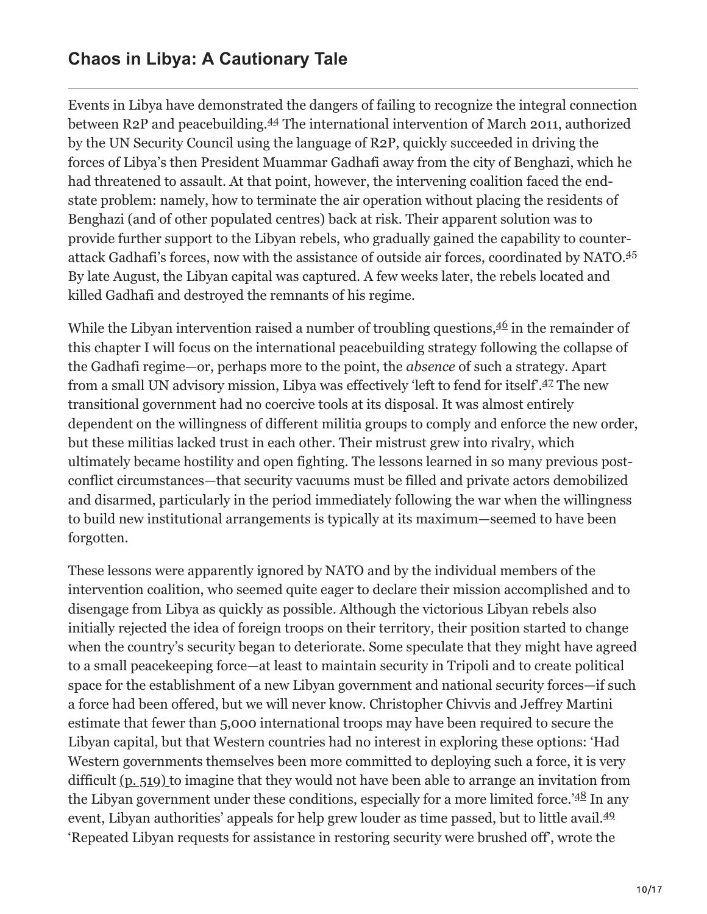## **Chaos in Libya: A Cautionary Tale**

<span id="page-9-0"></span>Events in Libya have demonstrated the dangers of failing to recognize the integral connection betweenR2P and peacebuilding.<sup>44</sup> The international intervention of March 2011, authorized by the UN Security Council using the language of R2P, quickly succeeded in driving the forces of Libya's then President Muammar Gadhafi away from the city of Benghazi, which he had threatened to assault. At that point, however, the intervening coalition faced the endstate problem: namely, how to terminate the air operation without placing the residents of Benghazi (and of other populated centres) back at risk. Their apparent solution was to provide further support to the Libyan rebels, who gradually gained the capability to counterattack Gadhafi's forces, now with the assistance of outside air forces, coordinated by NATO. [45](#page-16-0) By late August, the Libyan capital was captured. A few weeks later, the rebels located and killed Gadhafi and destroyed the remnants of his regime.

<span id="page-9-3"></span><span id="page-9-2"></span><span id="page-9-1"></span>Whilethe Libyan intervention raised a number of troubling questions,  $46$  in the remainder of this chapter I will focus on the international peacebuilding strategy following the collapse of the Gadhafi regime—or, perhaps more to the point, the *absence* of such a strategy. Apart from a small UN advisory mission, Libya was effectively 'left to fend for itself'. <sup>47</sup> The new transitional government had no coercive tools at its disposal. It was almost entirely dependent on the willingness of different militia groups to comply and enforce the new order, but these militias lacked trust in each other. Their mistrust grew into rivalry, which ultimately became hostility and open fighting. The lessons learned in so many previous postconflict circumstances—that security vacuums must be filled and private actors demobilized and disarmed, particularly in the period immediately following the war when the willingness to build new institutional arrangements is typically at its maximum—seemed to have been forgotten.

<span id="page-9-5"></span><span id="page-9-4"></span>These lessons were apparently ignored by NATO and by the individual members of the intervention coalition, who seemed quite eager to declare their mission accomplished and to disengage from Libya as quickly as possible. Although the victorious Libyan rebels also initially rejected the idea of foreign troops on their territory, their position started to change when the country's security began to deteriorate. Some speculate that they might have agreed to a small peacekeeping force—at least to maintain security in Tripoli and to create political space for the establishment of a new Libyan government and national security forces—if such a force had been offered, but we will never know. Christopher Chivvis and Jeffrey Martini estimate that fewer than 5,000 international troops may have been required to secure the Libyan capital, but that Western countries had no interest in exploring these options: 'Had Western governments themselves been more committed to deploying such a force, it is very difficult (p. 519) to imagine that they would not have been able to arrange an invitation from the Libyan government under these conditions, especially for a more limited force.'48 In any event, Libyan authorities' appeals for help grew louder as time passed, but to little avail.<sup>[49](#page-16-4)</sup> 'Repeated Libyan requests for assistance in restoring security were brushed off', wrote the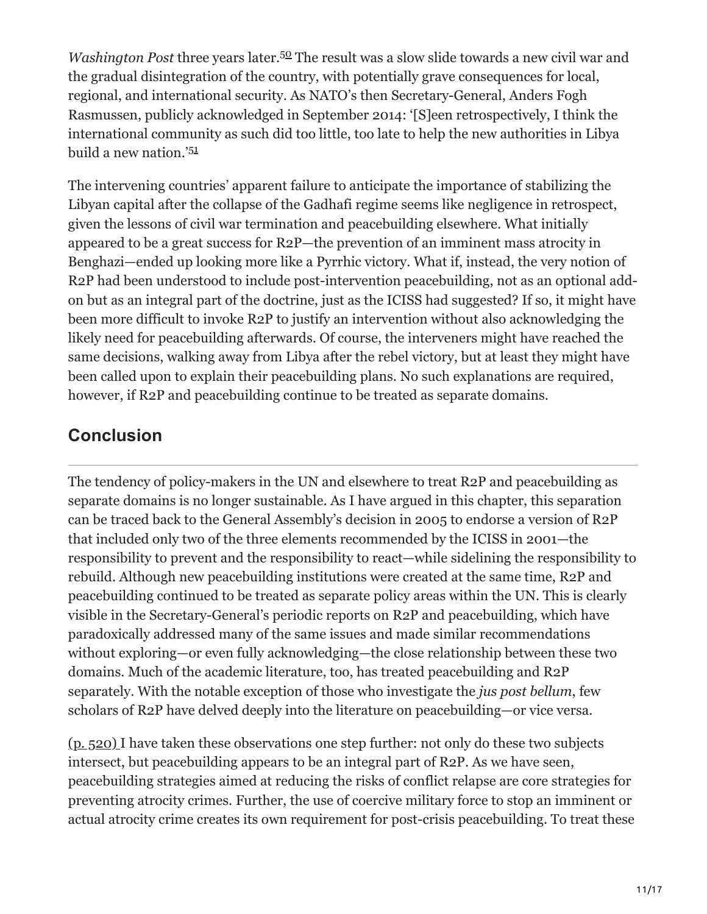<span id="page-10-0"></span>Washington Post three years later.<sup>50</sup> The result was a slow slide towards a new civil war and the gradual disintegration of the country, with potentially grave consequences for local, regional, and international security. As NATO's then Secretary-General, Anders Fogh Rasmussen, publicly acknowledged in September 2014: '[S] een retrospectively, I think the international community as such did too little, too late to help the new authorities in Libya build a new nation.'<sup>[51](#page-16-6)</sup>

<span id="page-10-1"></span>The intervening countries' apparent failure to anticipate the importance of stabilizing the Libyan capital after the collapse of the Gadhafi regime seems like negligence in retrospect, given the lessons of civil war termination and peacebuilding elsewhere. What initially appeared to be a great success for R2P—the prevention of an imminent mass atrocity in Benghazi—ended up looking more like a Pyrrhic victory. What if, instead, the very notion of R2P had been understood to include post-intervention peacebuilding, not as an optional addon but as an integral part of the doctrine, just as the ICISS had suggested? If so, it might have been more difficult to invoke R2P to justify an intervention without also acknowledging the likely need for peacebuilding afterwards. Of course, the interveners might have reached the same decisions, walking away from Libya after the rebel victory, but at least they might have been called upon to explain their peacebuilding plans. No such explanations are required, however, if R2P and peacebuilding continue to be treated as separate domains.

## **Conclusion**

The tendency of policy-makers in the UN and elsewhere to treat R2P and peacebuilding as separate domains is no longer sustainable. As I have argued in this chapter, this separation can be traced back to the General Assembly's decision in 2005 to endorse a version of R2P that included only two of the three elements recommended by the ICISS in 2001—the responsibility to prevent and the responsibility to react—while sidelining the responsibility to rebuild. Although new peacebuilding institutions were created at the same time, R2P and peacebuilding continued to be treated as separate policy areas within the UN. This is clearly visible in the Secretary-General's periodic reports on R2P and peacebuilding, which have paradoxically addressed many of the same issues and made similar recommendations without exploring—or even fully acknowledging—the close relationship between these two domains. Much of the academic literature, too, has treated peacebuilding and R2P separately. With the notable exception of those who investigate the *jus post bellum*, few scholars of R2P have delved deeply into the literature on peacebuilding—or vice versa.

(p. 520) I have taken these observations one step further: not only do these two subjects intersect, but peacebuilding appears to be an integral part of R2P. As we have seen, peacebuilding strategies aimed at reducing the risks of conflict relapse are core strategies for preventing atrocity crimes. Further, the use of coercive military force to stop an imminent or actual atrocity crime creates its own requirement for post-crisis peacebuilding. To treat these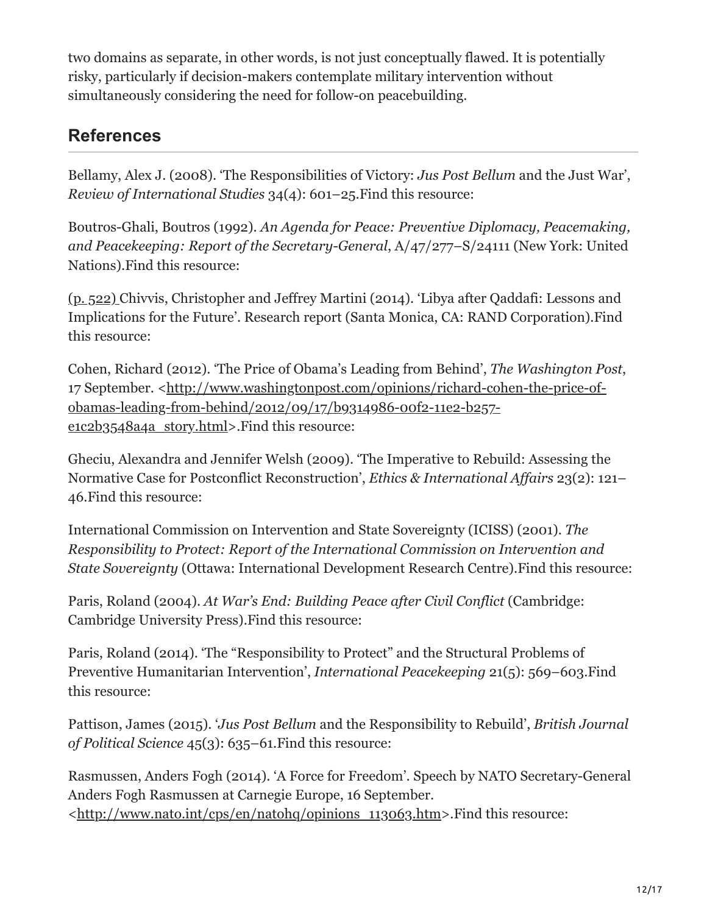two domains as separate, in other words, is not just conceptually flawed. It is potentially risky, particularly if decision-makers contemplate military intervention without simultaneously considering the need for follow-on peacebuilding.

### **References**

Bellamy, Alex J. (2008). 'The Responsibilities of Victory: *Jus Post Bellum* and the Just War', *Review of International Studies* 34(4): 601–25.Find this resource:

Boutros-Ghali, Boutros (1992). *An Agenda for Peace: Preventive Diplomacy, Peacemaking, and Peacekeeping: Report of the Secretary-General*, A/47/277–S/24111 (New York: United Nations).Find this resource:

(p. 522) Chivvis, Christopher and Jeffrey Martini (2014). 'Libya after Qaddafi: Lessons and Implications for the Future'. Research report (Santa Monica, CA: RAND Corporation).Find this resource:

Cohen, Richard (2012). 'The Price of Obama's Leading from Behind', *The Washington Post*, [17 September. <http://www.washingtonpost.com/opinions/richard-cohen-the-price-of](http://www.washingtonpost.com/opinions/richard-cohen-the-price-of-obamas-leading-from-behind/2012/09/17/b9314986-00f2-11e2-b257-e1c2b3548a4a_story.html)obamas-leading-from-behind/2012/09/17/b9314986-00f2-11e2-b257 e1c2b3548a4a\_story.html>.Find this resource:

Gheciu, Alexandra and Jennifer Welsh (2009). 'The Imperative to Rebuild: Assessing the Normative Case for Postconflict Reconstruction', *Ethics & International Affairs* 23(2): 121– 46.Find this resource:

International Commission on Intervention and State Sovereignty (ICISS) (2001). *The Responsibility to Protect: Report of the International Commission on Intervention and State Sovereignty* (Ottawa: International Development Research Centre).Find this resource:

Paris, Roland (2004). *At War's End: Building Peace after Civil Conflict* (Cambridge: Cambridge University Press).Find this resource:

Paris, Roland (2014). 'The "Responsibility to Protect" and the Structural Problems of Preventive Humanitarian Intervention', *International Peacekeeping* 21(5): 569–603.Find this resource:

Pattison, James (2015). '*Jus Post Bellum* and the Responsibility to Rebuild', *British Journal of Political Science* 45(3): 635–61.Find this resource:

Rasmussen, Anders Fogh (2014). 'A Force for Freedom'. Speech by NATO Secretary-General Anders Fogh Rasmussen at Carnegie Europe, 16 September. <[http://www.nato.int/cps/en/natohq/opinions\\_113063.htm](http://www.nato.int/cps/en/natohq/opinions_113063.htm)>.Find this resource: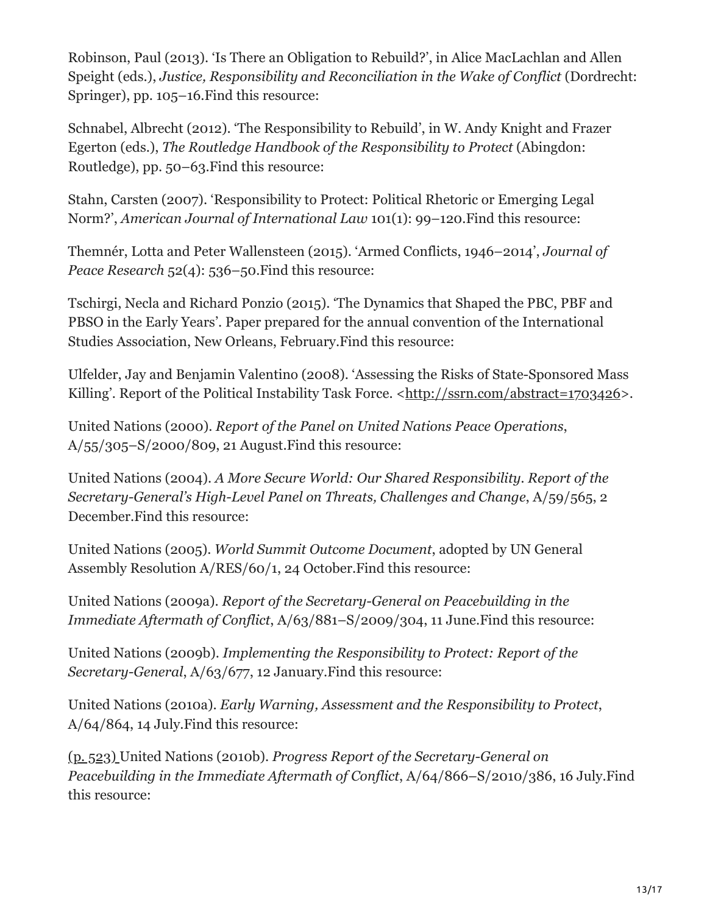Robinson, Paul (2013). 'Is There an Obligation to Rebuild?', in Alice MacLachlan and Allen Speight (eds.), *Justice, Responsibility and Reconciliation in the Wake of Conflict* (Dordrecht: Springer), pp. 105–16.Find this resource:

Schnabel, Albrecht (2012). 'The Responsibility to Rebuild', in W. Andy Knight and Frazer Egerton (eds.), *The Routledge Handbook of the Responsibility to Protect* (Abingdon: Routledge), pp. 50–63.Find this resource:

Stahn, Carsten (2007). 'Responsibility to Protect: Political Rhetoric or Emerging Legal Norm?', *American Journal of International Law* 101(1): 99–120.Find this resource:

Themnér, Lotta and Peter Wallensteen (2015). 'Armed Conflicts, 1946–2014', *Journal of Peace Research* 52(4): 536–50. Find this resource:

Tschirgi, Necla and Richard Ponzio (2015). 'The Dynamics that Shaped the PBC, PBF and PBSO in the Early Years'. Paper prepared for the annual convention of the International Studies Association, New Orleans, February.Find this resource:

Ulfelder, Jay and Benjamin Valentino (2008). 'Assessing the Risks of State-Sponsored Mass Killing'. Report of the Political Instability Task Force. <[http://ssrn.com/abstract=1703426>](http://ssrn.com/abstract=1703426).

United Nations (2000). *Report of the Panel on United Nations Peace Operations*, A/55/305–S/2000/809, 21 August.Find this resource:

United Nations (2004). *A More Secure World: Our Shared Responsibility. Report of the Secretary-General's High-Level Panel on Threats, Challenges and Change*, A/59/565, 2 December.Find this resource:

United Nations (2005). *World Summit Outcome Document*, adopted by UN General Assembly Resolution A/RES/60/1, 24 October.Find this resource:

United Nations (2009a). *Report of the Secretary-General on Peacebuilding in the Immediate Aftermath of Conflict*, A/63/881–S/2009/304, 11 June.Find this resource:

United Nations (2009b). *Implementing the Responsibility to Protect: Report of the Secretary-General*, A/63/677, 12 January.Find this resource:

United Nations (2010a). *Early Warning, Assessment and the Responsibility to Protect*, A/64/864, 14 July.Find this resource:

(p. 523) United Nations (2010b). *Progress Report of the Secretary-General on Peacebuilding in the Immediate Aftermath of Conflict*, A/64/866–S/2010/386, 16 July.Find this resource: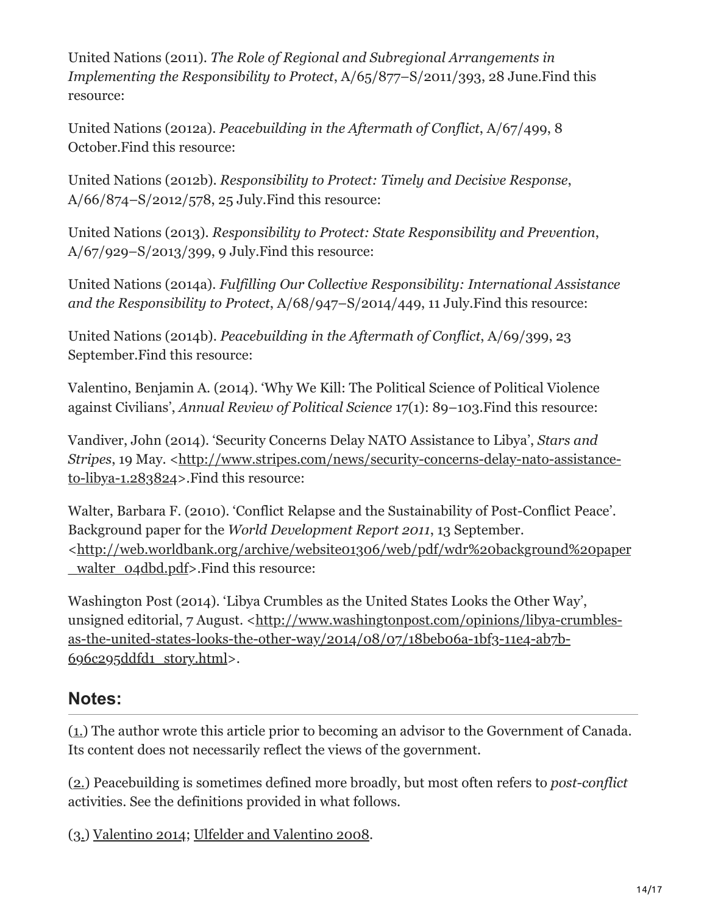United Nations (2011). *The Role of Regional and Subregional Arrangements in Implementing the Responsibility to Protect*, A/65/877–S/2011/393, 28 June.Find this resource:

United Nations (2012a). *Peacebuilding in the Aftermath of Conflict*, A/67/499, 8 October.Find this resource:

United Nations (2012b). *Responsibility to Protect: Timely and Decisive Response*, A/66/874–S/2012/578, 25 July.Find this resource:

United Nations (2013). *Responsibility to Protect: State Responsibility and Prevention*, A/67/929–S/2013/399, 9 July.Find this resource:

United Nations (2014a). *Fulfilling Our Collective Responsibility: International Assistance and the Responsibility to Protect*, A/68/947–S/2014/449, 11 July.Find this resource:

United Nations (2014b). *Peacebuilding in the Aftermath of Conflict*, A/69/399, 23 September.Find this resource:

Valentino, Benjamin A. (2014). 'Why We Kill: The Political Science of Political Violence against Civilians', *Annual Review of Political Science* 17(1): 89–103.Find this resource:

Vandiver, John (2014). 'Security Concerns Delay NATO Assistance to Libya', *Stars and Stripes*[, 19 May. <http://www.stripes.com/news/security-concerns-delay-nato-assistance](http://www.stripes.com/news/security-concerns-delay-nato-assistance-to-libya-1.283824)to-libya-1.283824>.Find this resource:

Walter, Barbara F. (2010). 'Conflict Relapse and the Sustainability of Post-Conflict Peace'. Background paper for the *World Development Report 2011*, 13 September. [<http://web.worldbank.org/archive/website01306/web/pdf/wdr%20background%20paper](http://web.worldbank.org/archive/website01306/web/pdf/wdr%20background%20paper_walter_04dbd.pdf) walter\_04dbd.pdf>.Find this resource:

Washington Post (2014). 'Libya Crumbles as the United States Looks the Other Way', [unsigned editorial, 7 August. <http://www.washingtonpost.com/opinions/libya-crumbles](http://www.washingtonpost.com/opinions/libya-crumbles-as-the-united-states-looks-the-other-way/2014/08/07/18beb06a-1bf3-11e4-ab7b-696c295ddfd1_story.html)as-the-united-states-looks-the-other-way/2014/08/07/18beb06a-1bf3-11e4-ab7b-696c295ddfd1\_story.html>.

#### **Notes:**

<span id="page-13-0"></span>([1.\)](#page-0-0) The author wrote this article prior to becoming an advisor to the Government of Canada. Its content does not necessarily reflect the views of the government.

<span id="page-13-1"></span>([2.\)](#page-0-1) Peacebuilding is sometimes defined more broadly, but most often refers to *post-conflict* activities. See the definitions provided in what follows.

<span id="page-13-2"></span>([3.\)](#page-0-2) [Valentino 2014](https://www.oxfordhandbooks.com/view/10.1093/oxfordhb/9780198753841.001.0001/oxfordhb-9780198753841-e-27#oxfordhb-9780198753841-e-27-bibItem-1303); [Ulfelder and Valentino 2008](https://www.oxfordhandbooks.com/view/10.1093/oxfordhb/9780198753841.001.0001/oxfordhb-9780198753841-e-27#oxfordhb-9780198753841-e-27-bibItem-1289).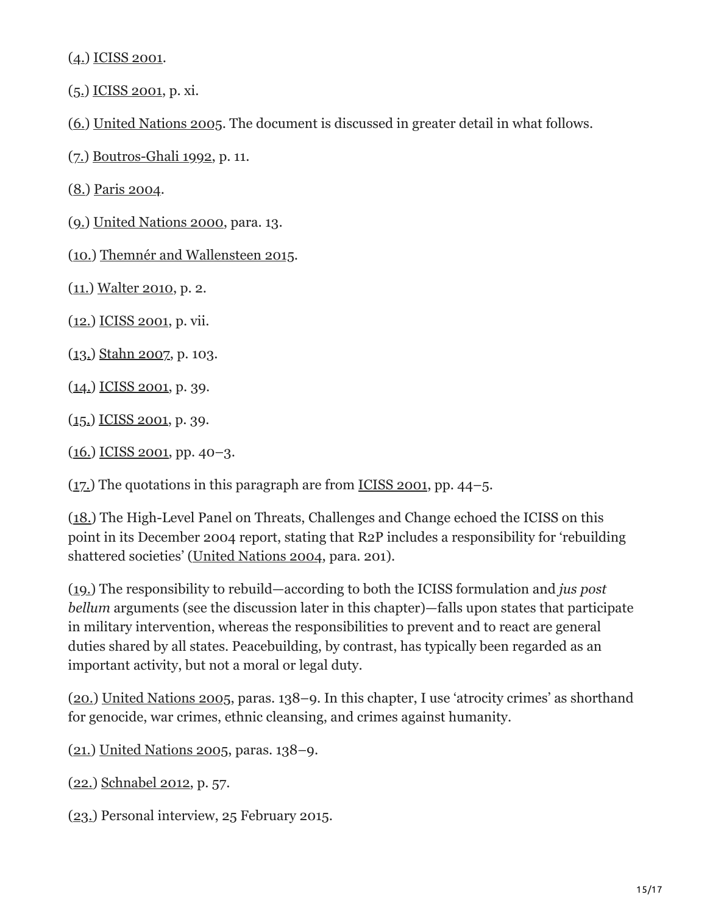<span id="page-14-0"></span>([4.\)](#page-0-3) [ICISS 2001.](https://www.oxfordhandbooks.com/view/10.1093/oxfordhb/9780198753841.001.0001/oxfordhb-9780198753841-e-27#oxfordhb-9780198753841-e-27-bibItem-1279)

<span id="page-14-1"></span>([5.](#page-1-0)) [ICISS 2001](https://www.oxfordhandbooks.com/view/10.1093/oxfordhb/9780198753841.001.0001/oxfordhb-9780198753841-e-27#oxfordhb-9780198753841-e-27-bibItem-1279), p. xi.

- <span id="page-14-2"></span>([6.\)](#page-1-1) [United Nations 2005.](https://www.oxfordhandbooks.com/view/10.1093/oxfordhb/9780198753841.001.0001/oxfordhb-9780198753841-e-27#oxfordhb-9780198753841-e-27-bibItem-1292) The document is discussed in greater detail in what follows.
- <span id="page-14-3"></span>([7.\)](#page-1-2) [Boutros-Ghali 1992,](https://www.oxfordhandbooks.com/view/10.1093/oxfordhb/9780198753841.001.0001/oxfordhb-9780198753841-e-27#oxfordhb-9780198753841-e-27-bibItem-1275) p. 11.

<span id="page-14-4"></span>([8.\)](#page-1-3) [Paris 2004.](https://www.oxfordhandbooks.com/view/10.1093/oxfordhb/9780198753841.001.0001/oxfordhb-9780198753841-e-27#oxfordhb-9780198753841-e-27-bibItem-1280)

- <span id="page-14-5"></span>([9.\)](#page-1-4) [United Nations 2000,](https://www.oxfordhandbooks.com/view/10.1093/oxfordhb/9780198753841.001.0001/oxfordhb-9780198753841-e-27#oxfordhb-9780198753841-e-27-bibItem-1290) para. 13.
- <span id="page-14-6"></span>([10.\)](#page-1-5) [Themnér and Wallensteen 2015](https://www.oxfordhandbooks.com/view/10.1093/oxfordhb/9780198753841.001.0001/oxfordhb-9780198753841-e-27#oxfordhb-9780198753841-e-27-bibItem-1287).

<span id="page-14-7"></span>([11.](#page-2-0)) [Walter 2010,](https://www.oxfordhandbooks.com/view/10.1093/oxfordhb/9780198753841.001.0001/oxfordhb-9780198753841-e-27#oxfordhb-9780198753841-e-27-bibItem-1305) p. 2.

<span id="page-14-8"></span>([12.\)](#page-2-1) [ICISS 2001,](https://www.oxfordhandbooks.com/view/10.1093/oxfordhb/9780198753841.001.0001/oxfordhb-9780198753841-e-27#oxfordhb-9780198753841-e-27-bibItem-1279) p. vii.

<span id="page-14-9"></span>([13.\)](#page-2-2) [Stahn 2007](https://www.oxfordhandbooks.com/view/10.1093/oxfordhb/9780198753841.001.0001/oxfordhb-9780198753841-e-27#oxfordhb-9780198753841-e-27-bibItem-1286), p. 103.

<span id="page-14-10"></span>([14.\)](#page-2-3) [ICISS 2001](https://www.oxfordhandbooks.com/view/10.1093/oxfordhb/9780198753841.001.0001/oxfordhb-9780198753841-e-27#oxfordhb-9780198753841-e-27-bibItem-1279), p. 39.

<span id="page-14-11"></span> $(15.)$  $(15.)$  $(15.)$  [ICISS 2001,](https://www.oxfordhandbooks.com/view/10.1093/oxfordhb/9780198753841.001.0001/oxfordhb-9780198753841-e-27#oxfordhb-9780198753841-e-27-bibItem-1279) p. 39.

 $(16.)$  [ICISS 2001](https://www.oxfordhandbooks.com/view/10.1093/oxfordhb/9780198753841.001.0001/oxfordhb-9780198753841-e-27#oxfordhb-9780198753841-e-27-bibItem-1279), pp. 40-3.

<span id="page-14-12"></span> $(17.7)$  The quotations in this paragraph are from [ICISS 2001](https://www.oxfordhandbooks.com/view/10.1093/oxfordhb/9780198753841.001.0001/oxfordhb-9780198753841-e-27#oxfordhb-9780198753841-e-27-bibItem-1279), pp. 44–5.

<span id="page-14-13"></span>([18.](#page-3-0)) The High-Level Panel on Threats, Challenges and Change echoed the ICISS on this point in its December 2004 report, stating that R2P includes a responsibility for 'rebuilding shattered societies' ([United Nations 2004](https://www.oxfordhandbooks.com/view/10.1093/oxfordhb/9780198753841.001.0001/oxfordhb-9780198753841-e-27#oxfordhb-9780198753841-e-27-bibItem-1291), para. 201).

<span id="page-14-14"></span>([19.\)](#page-3-1) The responsibility to rebuild—according to both the ICISS formulation and *jus post bellum* arguments (see the discussion later in this chapter)—falls upon states that participate in military intervention, whereas the responsibilities to prevent and to react are general duties shared by all states. Peacebuilding, by contrast, has typically been regarded as an important activity, but not a moral or legal duty.

<span id="page-14-15"></span>([20.\)](#page-3-2) [United Nations 2005,](https://www.oxfordhandbooks.com/view/10.1093/oxfordhb/9780198753841.001.0001/oxfordhb-9780198753841-e-27#oxfordhb-9780198753841-e-27-bibItem-1292) paras. 138–9. In this chapter, I use 'atrocity crimes' as shorthand for genocide, war crimes, ethnic cleansing, and crimes against humanity.

<span id="page-14-16"></span>([21.\)](#page-3-3) [United Nations 2005,](https://www.oxfordhandbooks.com/view/10.1093/oxfordhb/9780198753841.001.0001/oxfordhb-9780198753841-e-27#oxfordhb-9780198753841-e-27-bibItem-1292) paras. 138–9.

<span id="page-14-17"></span>([22.](#page-3-4)) [Schnabel 2012](https://www.oxfordhandbooks.com/view/10.1093/oxfordhb/9780198753841.001.0001/oxfordhb-9780198753841-e-27#oxfordhb-9780198753841-e-27-bibItem-1285), p. 57.

<span id="page-14-18"></span>([23.](#page-3-5)) Personal interview, 25 February 2015.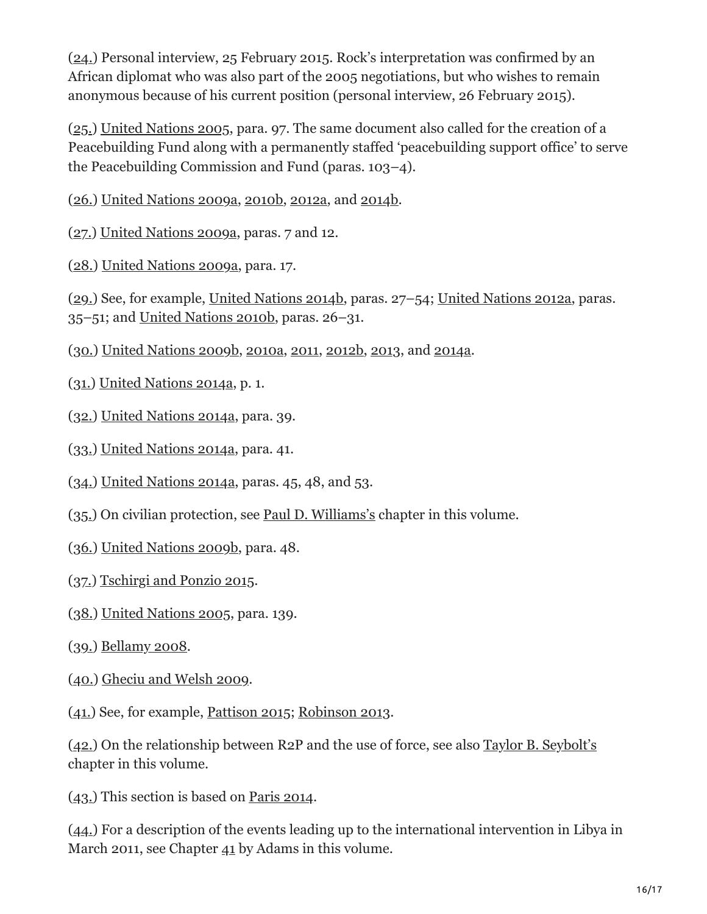<span id="page-15-0"></span>([24.](#page-3-6)) Personal interview, 25 February 2015. Rock's interpretation was confirmed by an African diplomat who was also part of the 2005 negotiations, but who wishes to remain anonymous because of his current position (personal interview, 26 February 2015).

<span id="page-15-1"></span>([25.\)](#page-4-1) [United Nations 2005,](https://www.oxfordhandbooks.com/view/10.1093/oxfordhb/9780198753841.001.0001/oxfordhb-9780198753841-e-27#oxfordhb-9780198753841-e-27-bibItem-1292) para. 97. The same document also called for the creation of a Peacebuilding Fund along with a permanently staffed 'peacebuilding support office' to serve the Peacebuilding Commission and Fund (paras. 103–4).

<span id="page-15-2"></span>([26.](#page-4-2)) [United Nations 2009a,](https://www.oxfordhandbooks.com/view/10.1093/oxfordhb/9780198753841.001.0001/oxfordhb-9780198753841-e-27#oxfordhb-9780198753841-e-27-bibItem-1293) [2010b](https://www.oxfordhandbooks.com/view/10.1093/oxfordhb/9780198753841.001.0001/oxfordhb-9780198753841-e-27#oxfordhb-9780198753841-e-27-bibItem-1296), [2012a,](https://www.oxfordhandbooks.com/view/10.1093/oxfordhb/9780198753841.001.0001/oxfordhb-9780198753841-e-27#oxfordhb-9780198753841-e-27-bibItem-1298) and [2014b](https://www.oxfordhandbooks.com/view/10.1093/oxfordhb/9780198753841.001.0001/oxfordhb-9780198753841-e-27#oxfordhb-9780198753841-e-27-bibItem-1302).

<span id="page-15-3"></span>([27.\)](#page-4-3) [United Nations 2009a](https://www.oxfordhandbooks.com/view/10.1093/oxfordhb/9780198753841.001.0001/oxfordhb-9780198753841-e-27#oxfordhb-9780198753841-e-27-bibItem-1293), paras. 7 and 12.

(28.) [United Nations 2009a](https://www.oxfordhandbooks.com/view/10.1093/oxfordhb/9780198753841.001.0001/oxfordhb-9780198753841-e-27#oxfordhb-9780198753841-e-27-bibItem-1293), para. 17.

<span id="page-15-4"></span>([29.](#page-4-4)) See, for example, [United Nations 2014b,](https://www.oxfordhandbooks.com/view/10.1093/oxfordhb/9780198753841.001.0001/oxfordhb-9780198753841-e-27#oxfordhb-9780198753841-e-27-bibItem-1302) paras. 27–54; [United Nations 2012a](https://www.oxfordhandbooks.com/view/10.1093/oxfordhb/9780198753841.001.0001/oxfordhb-9780198753841-e-27#oxfordhb-9780198753841-e-27-bibItem-1298), paras. 35–51; and [United Nations 2010b,](https://www.oxfordhandbooks.com/view/10.1093/oxfordhb/9780198753841.001.0001/oxfordhb-9780198753841-e-27#oxfordhb-9780198753841-e-27-bibItem-1296) paras. 26–31.

<span id="page-15-5"></span>([30.\)](#page-4-5) [United Nations 2009b](https://www.oxfordhandbooks.com/view/10.1093/oxfordhb/9780198753841.001.0001/oxfordhb-9780198753841-e-27#oxfordhb-9780198753841-e-27-bibItem-1294), [2010a,](https://www.oxfordhandbooks.com/view/10.1093/oxfordhb/9780198753841.001.0001/oxfordhb-9780198753841-e-27#oxfordhb-9780198753841-e-27-bibItem-1295) [2011](https://www.oxfordhandbooks.com/view/10.1093/oxfordhb/9780198753841.001.0001/oxfordhb-9780198753841-e-27#oxfordhb-9780198753841-e-27-bibItem-1297), [2012b](https://www.oxfordhandbooks.com/view/10.1093/oxfordhb/9780198753841.001.0001/oxfordhb-9780198753841-e-27#oxfordhb-9780198753841-e-27-bibItem-1299), [2013](https://www.oxfordhandbooks.com/view/10.1093/oxfordhb/9780198753841.001.0001/oxfordhb-9780198753841-e-27#oxfordhb-9780198753841-e-27-bibItem-1300), and [2014a](https://www.oxfordhandbooks.com/view/10.1093/oxfordhb/9780198753841.001.0001/oxfordhb-9780198753841-e-27#oxfordhb-9780198753841-e-27-bibItem-1301).

<span id="page-15-6"></span>([31.\)](#page-4-6) [United Nations 2014a,](https://www.oxfordhandbooks.com/view/10.1093/oxfordhb/9780198753841.001.0001/oxfordhb-9780198753841-e-27#oxfordhb-9780198753841-e-27-bibItem-1301) p. 1.

<span id="page-15-7"></span>([32.](#page-4-7)) [United Nations 2014a](https://www.oxfordhandbooks.com/view/10.1093/oxfordhb/9780198753841.001.0001/oxfordhb-9780198753841-e-27#oxfordhb-9780198753841-e-27-bibItem-1301), para. 39.

<span id="page-15-8"></span>([33.\)](#page-4-8) [United Nations 2014a](https://www.oxfordhandbooks.com/view/10.1093/oxfordhb/9780198753841.001.0001/oxfordhb-9780198753841-e-27#oxfordhb-9780198753841-e-27-bibItem-1301), para. 41.

<span id="page-15-9"></span>([34.](#page-4-9)) [United Nations 2014a](https://www.oxfordhandbooks.com/view/10.1093/oxfordhb/9780198753841.001.0001/oxfordhb-9780198753841-e-27#oxfordhb-9780198753841-e-27-bibItem-1301), paras. 45, 48, and 53.

- <span id="page-15-10"></span>([35.\)](#page-5-1) On civilian protection, see [Paul D. Williams's](https://www.oxfordhandbooks.com/view/10.1093/oxfordhb/9780198753841.001.0001/oxfordhb-9780198753841-e-28#) chapter in this volume.
- <span id="page-15-11"></span>([36.](#page-6-0)) [United Nations 2009b](https://www.oxfordhandbooks.com/view/10.1093/oxfordhb/9780198753841.001.0001/oxfordhb-9780198753841-e-27#oxfordhb-9780198753841-e-27-bibItem-1294), para. 48.
- <span id="page-15-12"></span>([37.\)](#page-6-1) [Tschirgi and Ponzio 2015](https://www.oxfordhandbooks.com/view/10.1093/oxfordhb/9780198753841.001.0001/oxfordhb-9780198753841-e-27#oxfordhb-9780198753841-e-27-bibItem-1288).
- <span id="page-15-13"></span>([38.](#page-7-0)) [United Nations 2005,](https://www.oxfordhandbooks.com/view/10.1093/oxfordhb/9780198753841.001.0001/oxfordhb-9780198753841-e-27#oxfordhb-9780198753841-e-27-bibItem-1292) para. 139.
- <span id="page-15-14"></span>([39.](#page-7-1)) [Bellamy 2008](https://www.oxfordhandbooks.com/view/10.1093/oxfordhb/9780198753841.001.0001/oxfordhb-9780198753841-e-27#oxfordhb-9780198753841-e-27-bibItem-1274).
- <span id="page-15-15"></span>([40.\)](#page-7-2) [Gheciu and Welsh 2009.](https://www.oxfordhandbooks.com/view/10.1093/oxfordhb/9780198753841.001.0001/oxfordhb-9780198753841-e-27#oxfordhb-9780198753841-e-27-bibItem-1278)

<span id="page-15-16"></span>([41.\)](#page-7-3) See, for example, [Pattison 2015;](https://www.oxfordhandbooks.com/view/10.1093/oxfordhb/9780198753841.001.0001/oxfordhb-9780198753841-e-27#oxfordhb-9780198753841-e-27-bibItem-1282) [Robinson 2013](https://www.oxfordhandbooks.com/view/10.1093/oxfordhb/9780198753841.001.0001/oxfordhb-9780198753841-e-27#oxfordhb-9780198753841-e-27-bibItem-1284).

<span id="page-15-17"></span>([42.](#page-7-4)) On the relationship between R2P and the use of force, see also [Taylor B. Seybolt's](https://www.oxfordhandbooks.com/view/10.1093/oxfordhb/9780198753841.001.0001/oxfordhb-9780198753841-e-30#) chapter in this volume.

<span id="page-15-18"></span>([43.](#page-7-5)) This section is based on [Paris 2014.](https://www.oxfordhandbooks.com/view/10.1093/oxfordhb/9780198753841.001.0001/oxfordhb-9780198753841-e-27#oxfordhb-9780198753841-e-27-bibItem-1281)

<span id="page-15-19"></span>([44.](#page-9-0)) For a description of the events leading up to the international intervention in Libya in March 2011, see Chapter  $41$  by Adams in this volume.